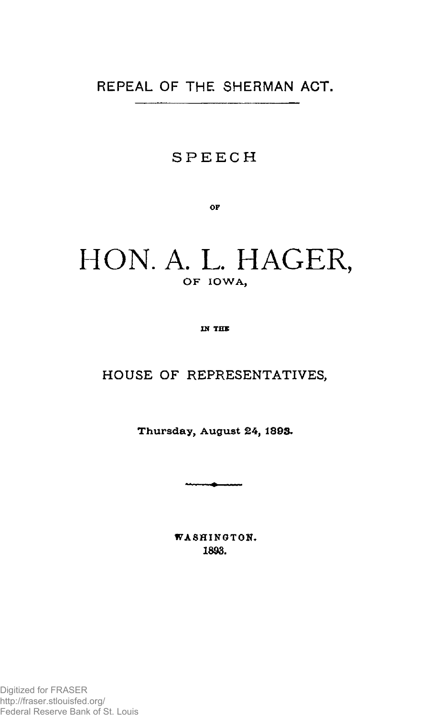## REPEAL OF THE SHERMAN ACT.

#### **SPEEC H**

OP

# HON. A. L. HAGER, OF IOWA,

**IN THE** 

### **HOUSE OF REPRESENTATIVES,**

**Thursday, Augus t 24, 1893.** 

**WASHINGTON, 1893.**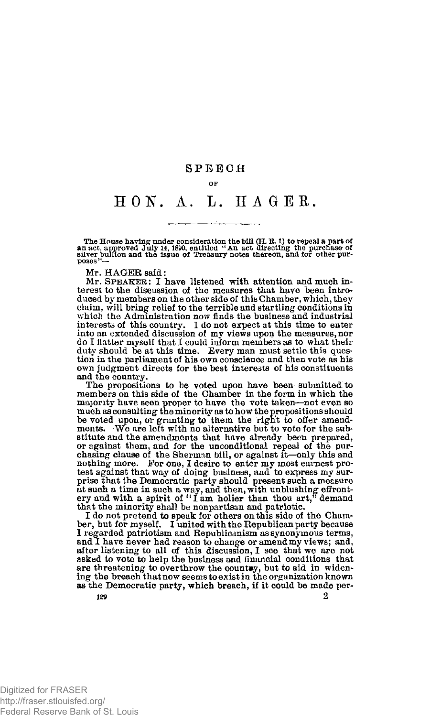#### **SPEEC H**

#### **OF**

## **HON . A. L. H A GEE .**

The House having under consideration the bill (H, R. 1) to repeal a part of an act, approved July 14, 1890, entitled "An act directing the purchase of poses" bullion and the issue of Treasury notes thereon, and for other

Mr. HAGER said:

Mr. **S**PEAKER : **I** have listened with attention and much interest to the discussion of the measures that have been introduced by members on the other side of this Chamber, which, they claim, will bring relief to the terrible and startling- conditions in which the Administration now finds the business and industrial<br>interests of this country. I do not expect at this time to enter<br>into an extended discussion of my views upon the measures, nor<br>do I flatter myself that I coul duty should be at this time. Every man must settle this question in the parliament of his own conscience and then vote as his own judgment directs for the best interests of his constituents and the country.

The propositions to be voted upon have been submitted to members on this side of the Chamber in the form in which the majority have seen proper to have the vote taken—not even so much as consulting the minority as to how the propositions should<br>be voted upon, or granting to them the right to offer amend-<br>ments. We are left with no alternative but to vote for the substitute and the amendments that have already been prepared, or against them, and for the unconditional repeal of the purchasing clause of the Sherman bill, or against it—only this and nothing more. For one, I desire to enter my most eurnest protest against that way of doing busines prise that the Democratic party should present such a measure at such a time in such a way, and then, with unblushing effront-ery and with a spirit of " I am holier than thou art," demand

that the minority shall be nonpartisan and patriotic. I do not pretend to speak for others on this side of the Cham-ber, but for myself. I united with the Republican party because I regarded patriotism and Republicanism as synonymous terms, and I have never had reason to change or amend my views; and, after listening to all of this discussion, I see that we are not asked to vote to help the business and financial conditions that are threatening to overthrow the country, but to aid in widen-<br>ing the breach that now seems to exist in the organization known as the Democratic party, which breach, if it could be made per-**129** 2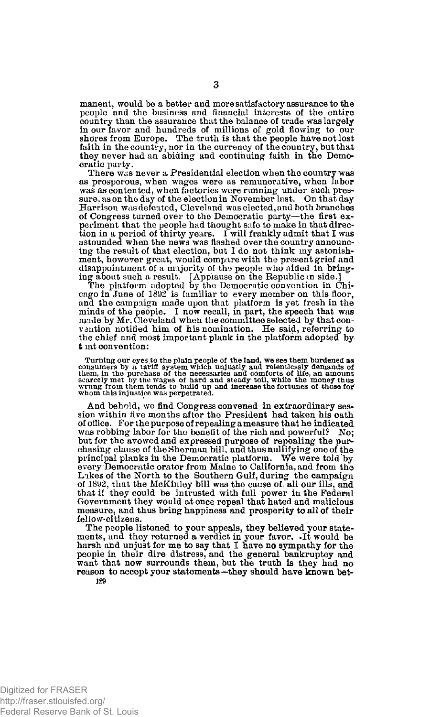manent, would be a better and more satisfactory assurance to the people and the business and financial interests of the entire country than the assurance that the balance of trade was largely in our favor and hundreds of millions of gold flowing to our shores from Europe. The truth is that the people have not lost faith in the country, nor in the currency of the country, but that they never had an abiding and continuing faith in the Democratic party.

There was never a Presidential election when the country was as prosperous, when wages were as remunerative, when labor was as contented, when factories were running under such pressure, as on the day of the election in November last. On that day Harrison was defeated, Cleveland was elected, and both branches of Congress turned over to the Democratic party—the first experiment that the people had thought safe to make in that direc-tion in a period of thirty years. I will frankly admit that I was astounded when the news was flashed over the country announcing the result of that election, but I do not think my astonishment, however great, would compare with the present grief and disappointment of a majority of the people who aided in bring-

ing about such a result. [Applause on the Republic in side.] The platform adopted by the Democratic convention in Chicago in June of 1892 is familiar to every member on this floor, and the campaign made upon that platform is yet fresh in the minds of the people. I now recall, in part, the speech that was made by Mr. Cleveland when the committee selected by that connection value vantion notified him o the chief and most important plank in the platform adopted by t lat convention:

Turning our eyes to the plain people of the land, we see them burdened as consumers by a tariff system which unjustly and releatiesly demands of them, in the purchase of the necessaries and comforts of life, an amount sear

And behold, we find Congress convened in extraordinary session within five months after the President had taken his oath of office. For the purpose of repealing a measure that he indicated was robbing labor for the benefit of the rich and powerful? No; but for the avowed and expressed purpose of repealing the purchasing clause of the Sherman bill, and thus nullifying one of the principal planks in the Democratic platform. We were toJd'by every Democratic orator from Maine to California, and from the Likes of the North to the Southern Gulf, during the campaign of 1892, that the McKinley bill was the cause of all our ills, and that if they could be intrusted with full power in the Federal Government they would at once repeal that hated and malicious measure, and thus bring happiness and prosperity to all of their fellow-citizens.

The people listened to your appeals, they believed your statements, and they returned a verdict in your favor. .It would be harsh and unjust for me to say that I have no sympathy for the people in their dire distress, and the general bankruptcy and want that now surrounds them, but the truth is they had no reason to accept your statements—they should have known bet-**129**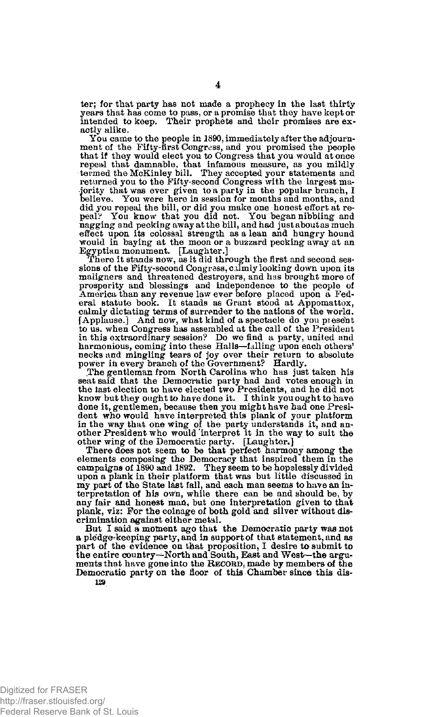ter; for that party has not made a prophecy in the last thirty years that has come to pass, or a promise that they have kept or intended to keep. Their prophets and their promises are exactly alike.

You came to the people in 1890, immediately after the adjournment of the Fifty-first Congress, and you promised the people that if they would elect you to Congress that you would at once repeal that damnable, that infamous measure, as you mildly termed the McKinley bill. They accepted your statements and returned you to the Fifty-second Congress with the largest majority that was ever given to a party in the popular branch, I believe. You were here in session for months and months, and did you repeal the bill, or did you make one honest effort at re-<br>peal? You know that you did not. You began nibbling and nagging and pecking away at the bill, and had just about as much effect upon its colossal strength as a lean and hungry hound would in baying at the moon or a buzzard pecking away at an Egyptian monument. [Laughter.]

There it stands now. as it did through the first and second sessions of the Fifty-second Congress, calmly looking down upon its maligners and threatened destroyers, and has brought more of prosperity and blessings and independence to the people of America than any revenue law ever before placed upon a Federal statute book. It stands as Grant stood at Appomattox, calmly dictating terms of surrender to the nations of the world. fApplause.] And now, what kind of a spectacle do you present to us, when Congress has assembled at the call of the President in this extraordinary session? Do we find a party, united and harmonious, coming into these Halls—falling upon each others'<br>necks and mingling tears of joy over their return to absolute<br>power in every branch of the Government? Hardly.

.The gentleman from North Carolina who has just taken his seat said that the Democratic party had had votes enough in the last election to have elected two Presidents, and he did not know but they ought to have done it. I think you ought to have done it, gentlemen, because then you might have had one President who would have interpreted this plank of your platform<br>in the way that one wing of the party understands it, and an-<br>other President who would interpret it in the way to suit the other wing of the Democratic party. [Laughter.]

There does not seem to be that perfect harmony among the elements composing the Democracy that inspired them in the campaigns of 1890 and 1892. They seem to be hopelessly divided upon a plank in their platform that was but little discussed in my part of the State last fall, and each man seems to have an interpretation of his own, while there can be and should be, by any fair and honest man, but one interpretation given to that plank, viz: For the coinage of both gold and silver without discrimination against either metal.

But I said a moment ago that the Democratic party was not a pledge^keeping party, and in support of that statement, and as part of the evidence on that proposition, I desire to submit to the entire country—North and South, East and West—the arguments that have gone into the RECORD, made by members of the Democratic party on the floor of this Chamber since this dis-**129**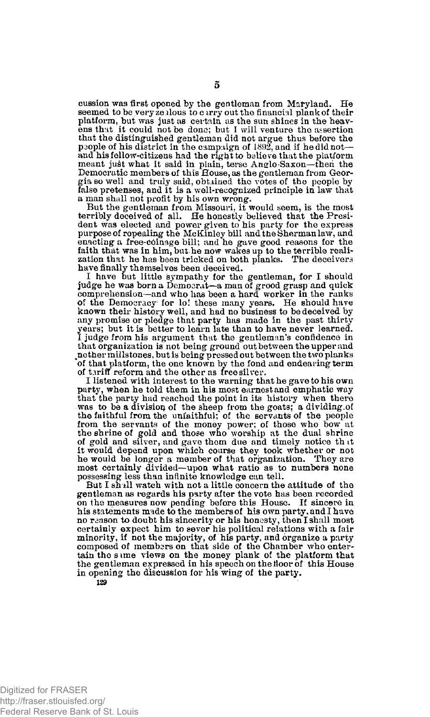cussion was first opened by the gentleman from Maryland. He seemed to be very zealous to carry out the financial plank of their platform, but was just as certain as the sun shines in the heav-ens that it could not be done; but I will venture the assertion that the distinguished gentleman did not argue thus before the psople of his district in the campaign of 1892, and if he did not and his fellow-citizens had the right to balieve that the platform meant just what it said in plain, terse Anglo-Saxon—then the<br>Democratic members of this House, as the gentleman from Georgia so well and truly said, obtained the votes of the people by false pretenses, and it is a well^recognized principle in law that a man shall not profit by his own wrong.

But the gentleman from Missouri, it would seem, is the most terribly deceived of all. He honestly believed that the President was elected and power given to' his party for the express purpose of repealing the McKinley bill and the Sherman law, and enacting a free-Cdinage bill; and he gave good reasons for the faith that was in him, but he now wakes up to the terrible realization that he has been tricked on both planks. The deceivers have finally themselves been deceived.

I have but little sympathy for the gentleman, for I should judge he was born a Democrat—a man of grood grasp and quick comprehension—and who has been a hard worker in the ranks of the Democracy- for lo! these many years. He should have known their history well, and had no business to be deceived by any promise or pledge that party has made in the past thirty years; but it is better to learn late than to have never learned. I judge from his argument that the gentleman's confidence in that organization is not being ground out between the upper and  $\mathbf{h}$  pether millstones, but is being pressed out between the two planks of that platform, the one known by the fond and endearing term of tariff reform and the other as free silver.

I listened with interest to the warning that he gave to his own party, when he told them in his most earnest and emphatic way that the party had reached the point in its history when there was to be a division of the sheep from the goats: a dividing.of the faithful from the unfaithful; of the servants of the people from the servants of the money power; of those who bow at the shrine of gold and those who worship at the dual shrine of gold and silver, and gave them due and timely notice th tt it would depend upon which course they took whether or not he would be longer a member of that organization. They are most certainly divided—upon what ratio as to numbers none possessing less than infinite knowledge can tell.

But I shall watch with not a little concern the attitude of the gentleman as regards his party after the vote has been recorded on the measures now pending before this House. If sincere in his statements made to the members of his own party, and I have no reason to doubt his sincerity or his honesty, then I shall most certainly expect him to sever his political relations with a fair minority, if not the majority, of his party, and organize a party composed of members on that side of the Chamber who entertain the s ime views on the money plank of the platform that the gentleman expressed in his speech on the floor of this House in opening the discussion for his wing of the party,

**129**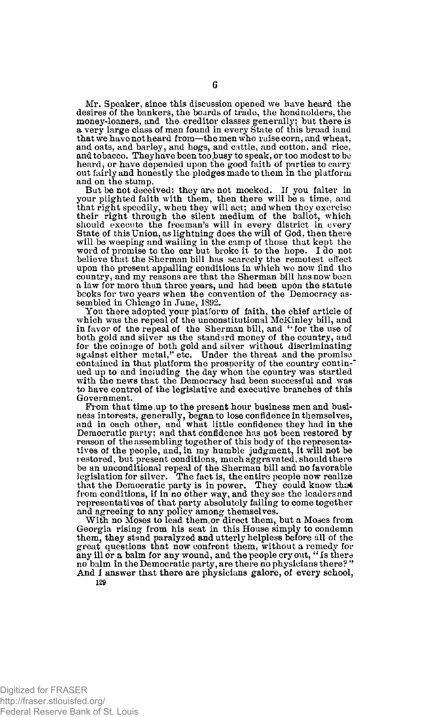Mr. Speaker, since this discussion opened we have heard the desires of the bankers, the boards of trade, the bondnolders, the money-loaners, and the creditor classes generally; but there is a very large class of men found in every State of this broad land that we have not heard from—the men who raise corn, and wheat, and oats, and barley, and hogs, and cattle, and cotton, and rice, and tobacco. They have been too busy to speak, or too modest to be heard, or have depended upon the good faith of parties to carry out fairly and honestly the pledges made to them in the platform and on the stump.

But be not deceived; they are not mocked. If you falter in your plighted faith with them, then there will be a time, and that right speedily, when they will act; and when they exercise their right through the silent medium of the ballot, which should execute the freeman's will in every district in every State of this Union, as lightning does the will of God, then there will be weeping and wailing in the camp of those that kept the word of promise to the ear but broke it to the hope. I do not believe that the Sherman bill has scarcely the remotest effect upon the present appalling conditions in which we now find the country, and my reasons are that the Sherman bill has now been a law for more than three years, and had been upon the statute bcoks for two years when the convention of the Democracy assembled in Chicago in June, 1892.

You there adopted your platform of faith, the chief article of which was the repeal of the unconstitutional McKinley bill, and in favor of the repeal of the Sherman bill, and "for the use of both gold and silver as the standard money of the country, and for the coinage of both gold and silver without discriminating against either metal," etc. Under the threat and the promise contained in that platform the prosperity of the country continued up to and including the day when the country was startled with the news that the Democracy had been successful and was to have control of the legislative and executive branches of this Government.

From that time ,up to the present hour business men and business interests, generally, began to lose confidence in themselves, nnd in each other, and what little confidence they had in the Democratic party; and that confidence has not been restored by reason of the assembling together of this body of the representatives of the people, and, in my humble judgment, it will not be restored, but present conditions, much aggravated, should there be an unconditional repeal of the Sherman bill and no favorable legislation for silver. The fact is, the entire people now realize that the Democratic party is in power. They could know that from conditions, if in no other way, and they see the leaders and representatives of that party absolutely failing to come together and agreeing to any policy among themselves.

With no Moses to lead them, or direct them, but a Moses from Georgia rising from his seat in this House simply to condemn them, they stand paralyzed and utterly helpless before all of the great questions that now confront them, without a remedy for any ill or a balm for any wound, and the people cry out, "Is there no balm in the Democratic party, are there no physicians there? " And I answer that there are physicians galore, of every school, 12a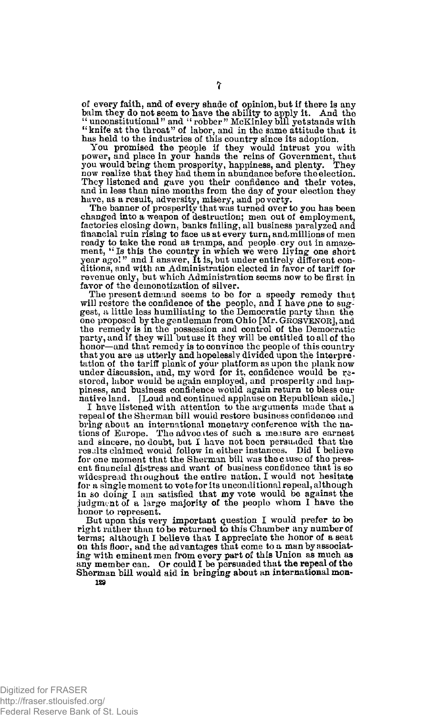of every faith, and of every shade of opinion, but if there is any balm they do not seem to have the ability to apply it. And the "unconstitutional" and "robber" McKinley bill yet stands with "knife at the throat" of labor, and in the same attitude that it

has held to the industries of this country since its adoption.<br>You promised the people if they would intrust you with<br>power, and place in your hands the reins of Government, that<br>you would bring them prosperity, happiness, you would bring them prosperity, happiness, and plenty. They now realize that they had them in abundance before the election. They listened and gave you their confidence and their votes, and in less than nine months from the day of your election they have, as a result, adversity, misery, and poverty. The banner of prosperity that was turned over to you has been

changed into a weapon of destruction; men out of employment, factories closing down, banks failing, all business paralyzed and financial ruin rising to face us at every turn, and millions of men<br>ready to take the road as tramps, and people cry out in amaze-<br>ment, "Is this the country in which we were living one short<br>year ago!" and I answer, It is ditions, and with an Administration elected in favor of tariff for revenue only, but which Administration seems now to be first in favor of the demonetization of silver.

The present demand seems to be for a speedy remedy that will restore the confidence of the people, and I have pne to suggest, a little less humiliating to the Democratic party than the one proposed by the gentleman from Ohio [Mr. GROSVENOR], and the remedy is in the possession and control of the Democratic party, and if they will but use it they will be entitled to all of the honor—and that remedy is to convince the people of this country that you are as utterly and hopelessly divided upon the interpretation of the tariff plank of your platform as upon the plank now under discussion, and, my word for it. confidence would be re-stored, labor would be again employed, and prosperity and happiness, and business confidence would again return to bless our native land. [Loud and continued applause on Republican side.]

I have listened with attention to the arguments made that a repeal of the Sherman bill would restore business confidence and bring about an international monetary conference with the nations of Europe. The advocates of such a measure are earnest and sincere, no doubt, but I have not been persuaded that the results claimed would follow in either instances. Did I believe for one moment that the Sherman bill was the cause of the pres-ent financial distress and want of business confidence that is so widespread thioughout the entire nation, I would not hesitate for a single moment to vote for its unconditional repeal, although in so doing I am satisfied that my vote would be against the judgment of a large majority of the people whom I have the honor to represent.

But upon this very important question I would prefer to be right rather than to be returned to this Chamber any number of terms; although I believe that I appreciate the honor of a seat on this floor, and the advantages that come to a man by associating with eminent men from every part of this Union as much as any member can. Or could I be persuaded that the repeal of the Sherman bill would aid in bringing about an international mon-**129** 

**7**